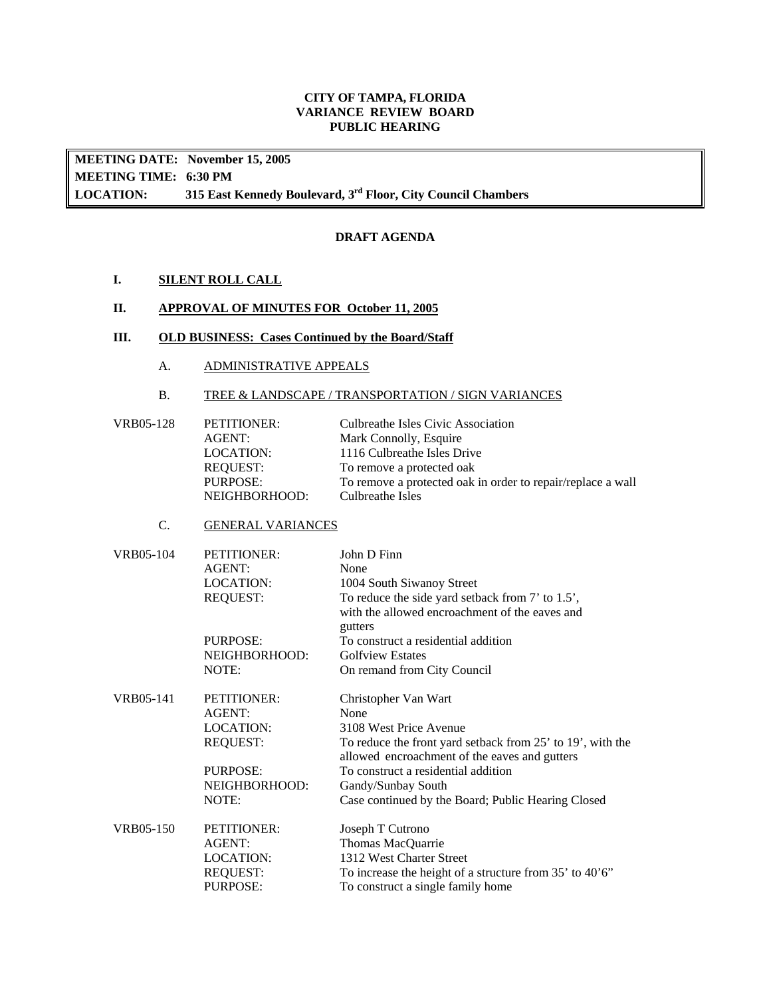## **CITY OF TAMPA, FLORIDA VARIANCE REVIEW BOARD PUBLIC HEARING**

**LOCATION: MEETING DATE: November 15, 2005 MEETING TIME: 6:30 PM**  315 East Kennedy Boulevard, 3<sup>rd</sup> Floor, City Council Chambers

## **DRAFT AGENDA**

**I. SILENT ROLL CALL** 

## **II. APPROVAL OF MINUTES FOR October 11, 2005**

## **III. OLD BUSINESS: Cases Continued by the Board/Staff**

A. ADMINISTRATIVE APPEALS

## B. TREE & LANDSCAPE / TRANSPORTATION / SIGN VARIANCES

| VRB05-128 | PETITIONER:   | Culbreathe Isles Civic Association                          |
|-----------|---------------|-------------------------------------------------------------|
|           | AGENT:        | Mark Connolly, Esquire                                      |
|           | LOCATION:     | 1116 Culbreathe Isles Drive                                 |
|           | REOUEST:      | To remove a protected oak                                   |
|           | PURPOSE:      | To remove a protected oak in order to repair/replace a wall |
|           | NEIGHBORHOOD: | Culbreathe Isles                                            |
|           |               |                                                             |

## C. GENERAL VARIANCES

| VRB05-104 | <b>PETITIONER:</b> | John D Finn                                                                                                 |
|-----------|--------------------|-------------------------------------------------------------------------------------------------------------|
|           | AGENT:             | None                                                                                                        |
|           | <b>LOCATION:</b>   | 1004 South Siwanoy Street                                                                                   |
|           | <b>REQUEST:</b>    | To reduce the side yard setback from 7' to 1.5',                                                            |
|           |                    | with the allowed encroachment of the eaves and<br>gutters                                                   |
|           | PURPOSE:           | To construct a residential addition                                                                         |
|           | NEIGHBORHOOD:      | <b>Golfview Estates</b>                                                                                     |
|           | NOTE:              | On remand from City Council                                                                                 |
| VRB05-141 | <b>PETITIONER:</b> | Christopher Van Wart                                                                                        |
|           | AGENT:             | None                                                                                                        |
|           | LOCATION:          | 3108 West Price Avenue                                                                                      |
|           | <b>REQUEST:</b>    | To reduce the front yard setback from 25' to 19', with the<br>allowed encroachment of the eaves and gutters |
|           | PURPOSE:           | To construct a residential addition                                                                         |
|           | NEIGHBORHOOD:      | Gandy/Sunbay South                                                                                          |
|           | NOTE:              | Case continued by the Board; Public Hearing Closed                                                          |
| VRB05-150 | <b>PETITIONER:</b> | Joseph T Cutrono                                                                                            |
|           | AGENT:             | Thomas MacQuarrie                                                                                           |
|           | LOCATION:          | 1312 West Charter Street                                                                                    |
|           | <b>REQUEST:</b>    | To increase the height of a structure from 35' to 40'6"                                                     |
|           | <b>PURPOSE:</b>    | To construct a single family home                                                                           |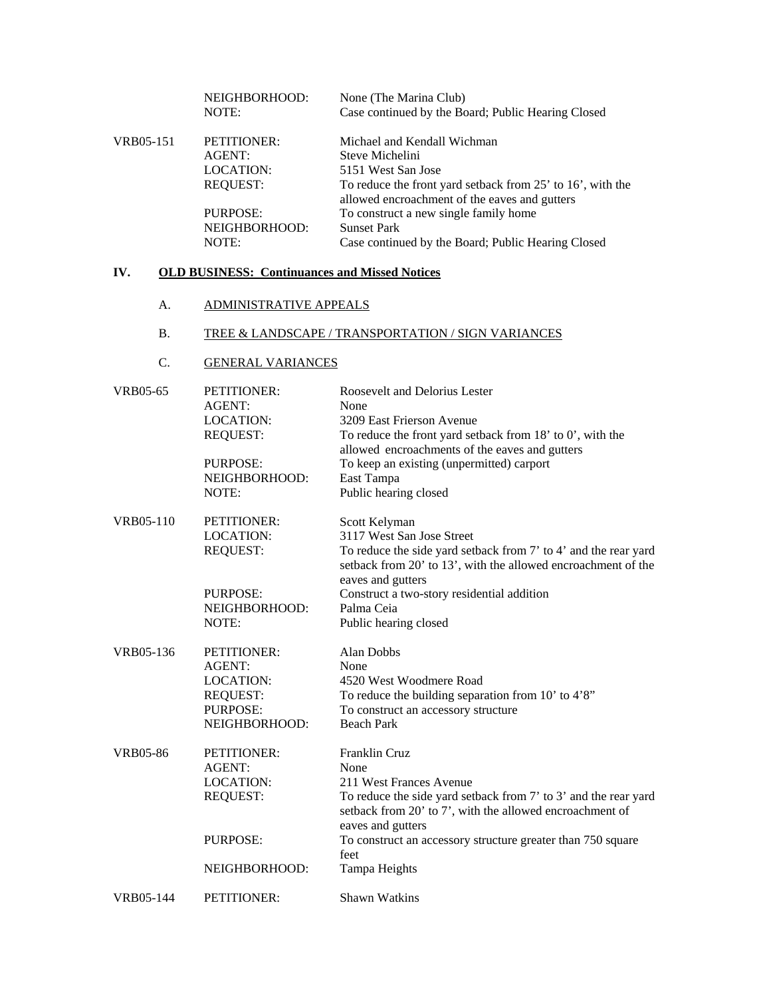|           | NEIGHBORHOOD:<br>NOTE: | None (The Marina Club)<br>Case continued by the Board; Public Hearing Closed                                |
|-----------|------------------------|-------------------------------------------------------------------------------------------------------------|
| VRB05-151 | PETITIONER:            | Michael and Kendall Wichman                                                                                 |
|           | AGENT:                 | Steve Michelini                                                                                             |
|           | LOCATION:              | 5151 West San Jose                                                                                          |
|           | <b>REQUEST:</b>        | To reduce the front yard setback from 25' to 16', with the<br>allowed encroachment of the eaves and gutters |
|           | PURPOSE:               | To construct a new single family home                                                                       |
|           | NEIGHBORHOOD:          | <b>Sunset Park</b>                                                                                          |
|           | NOTE:                  | Case continued by the Board; Public Hearing Closed                                                          |
|           |                        |                                                                                                             |

# **IV. OLD BUSINESS: Continuances and Missed Notices**

#### A. ADMINISTRATIVE APPEALS

# B. TREE & LANDSCAPE / TRANSPORTATION / SIGN VARIANCES

## C. GENERAL VARIANCES

| <b>VRB05-65</b>  | PETITIONER:<br><b>AGENT:</b><br>LOCATION:<br><b>REQUEST:</b>                                     | Roosevelt and Delorius Lester<br>None<br>3209 East Frierson Avenue<br>To reduce the front yard setback from $18'$ to $0'$ , with the<br>allowed encroachments of the eaves and gutters               |
|------------------|--------------------------------------------------------------------------------------------------|------------------------------------------------------------------------------------------------------------------------------------------------------------------------------------------------------|
|                  | <b>PURPOSE:</b><br>NEIGHBORHOOD:<br>NOTE:                                                        | To keep an existing (unpermitted) carport<br>East Tampa<br>Public hearing closed                                                                                                                     |
| <b>VRB05-110</b> | PETITIONER:<br><b>LOCATION:</b><br><b>REQUEST:</b>                                               | Scott Kelyman<br>3117 West San Jose Street<br>To reduce the side yard setback from 7' to 4' and the rear yard<br>setback from 20' to 13', with the allowed encroachment of the<br>eaves and gutters  |
|                  | PURPOSE:<br>NEIGHBORHOOD:<br>NOTE:                                                               | Construct a two-story residential addition<br>Palma Ceia<br>Public hearing closed                                                                                                                    |
| VRB05-136        | PETITIONER:<br><b>AGENT:</b><br>LOCATION:<br><b>REQUEST:</b><br><b>PURPOSE:</b><br>NEIGHBORHOOD: | Alan Dobbs<br>None<br>4520 West Woodmere Road<br>To reduce the building separation from $10'$ to $4'8''$<br>To construct an accessory structure<br><b>Beach Park</b>                                 |
| <b>VRB05-86</b>  | PETITIONER:<br><b>AGENT:</b><br><b>LOCATION:</b><br><b>REQUEST:</b>                              | Franklin Cruz<br>None<br>211 West Frances Avenue<br>To reduce the side yard setback from 7' to 3' and the rear yard<br>setback from 20' to 7', with the allowed encroachment of<br>eaves and gutters |
|                  | PURPOSE:<br>NEIGHBORHOOD:                                                                        | To construct an accessory structure greater than 750 square<br>feet<br>Tampa Heights                                                                                                                 |
| VRB05-144        | PETITIONER:                                                                                      | <b>Shawn Watkins</b>                                                                                                                                                                                 |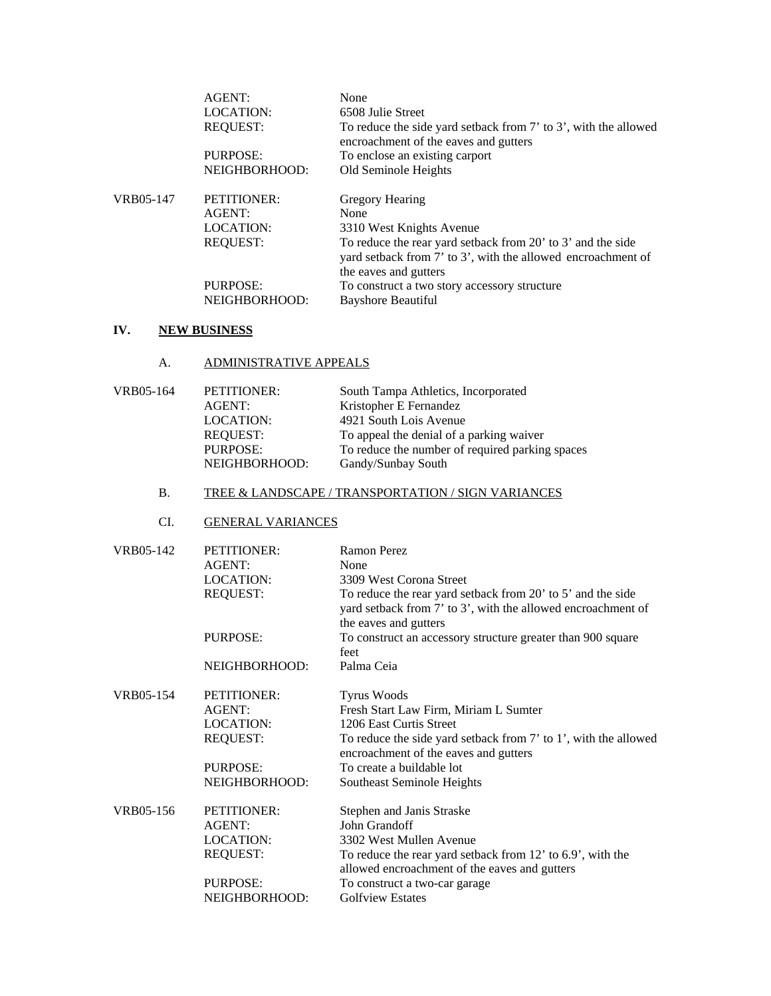|           | AGENT:                    | None                                                                                                                                                 |
|-----------|---------------------------|------------------------------------------------------------------------------------------------------------------------------------------------------|
|           | <b>LOCATION:</b>          | 6508 Julie Street                                                                                                                                    |
|           | <b>REQUEST:</b>           | To reduce the side yard setback from 7' to 3', with the allowed<br>encroachment of the eaves and gutters                                             |
|           | PURPOSE:                  | To enclose an existing carport                                                                                                                       |
|           | NEIGHBORHOOD:             | Old Seminole Heights                                                                                                                                 |
| VRB05-147 | <b>PETITIONER:</b>        | Gregory Hearing                                                                                                                                      |
|           | AGENT:                    | None                                                                                                                                                 |
|           | <b>LOCATION:</b>          | 3310 West Knights Avenue                                                                                                                             |
|           | <b>REOUEST:</b>           | To reduce the rear yard setback from 20' to 3' and the side<br>yard setback from 7' to 3', with the allowed encroachment of<br>the eaves and gutters |
|           | PURPOSE:<br>NEIGHBORHOOD: | To construct a two story accessory structure<br>Bayshore Beautiful                                                                                   |

## **IV. NEW BUSINESS**

A. ADMINISTRATIVE APPEALS

| VRB05-164 | PETITIONER:      | South Tampa Athletics, Incorporated             |
|-----------|------------------|-------------------------------------------------|
|           | AGENT:           | Kristopher E Fernandez                          |
|           | <b>LOCATION:</b> | 4921 South Lois Avenue                          |
|           | <b>REQUEST:</b>  | To appeal the denial of a parking waiver        |
|           | <b>PURPOSE:</b>  | To reduce the number of required parking spaces |
|           | NEIGHBORHOOD:    | Gandy/Sunbay South                              |
|           |                  |                                                 |

# B. TREE & LANDSCAPE / TRANSPORTATION / SIGN VARIANCES

# CI. GENERAL VARIANCES

| VRB05-142 | <b>PETITIONER:</b> | <b>Ramon Perez</b>                                                                                                                                   |
|-----------|--------------------|------------------------------------------------------------------------------------------------------------------------------------------------------|
|           | AGENT:             | None                                                                                                                                                 |
|           | LOCATION:          | 3309 West Corona Street                                                                                                                              |
|           | <b>REQUEST:</b>    | To reduce the rear yard setback from 20' to 5' and the side<br>yard setback from 7' to 3', with the allowed encroachment of<br>the eaves and gutters |
|           | <b>PURPOSE:</b>    | To construct an accessory structure greater than 900 square<br>feet                                                                                  |
|           | NEIGHBORHOOD:      | Palma Ceia                                                                                                                                           |
| VRB05-154 | PETITIONER:        | <b>Tyrus Woods</b>                                                                                                                                   |
|           | AGENT:             | Fresh Start Law Firm, Miriam L Sumter                                                                                                                |
|           | LOCATION:          | 1206 East Curtis Street                                                                                                                              |
|           | <b>REQUEST:</b>    | To reduce the side yard setback from 7' to 1', with the allowed<br>encroachment of the eaves and gutters                                             |
|           | PURPOSE:           | To create a buildable lot                                                                                                                            |
|           | NEIGHBORHOOD:      | Southeast Seminole Heights                                                                                                                           |
| VRB05-156 | PETITIONER:        | Stephen and Janis Straske                                                                                                                            |
|           | AGENT:             | John Grandoff                                                                                                                                        |
|           | LOCATION:          | 3302 West Mullen Avenue                                                                                                                              |
|           | <b>REQUEST:</b>    | To reduce the rear yard setback from 12' to 6.9', with the                                                                                           |
|           |                    | allowed encroachment of the eaves and gutters                                                                                                        |
|           | PURPOSE:           | To construct a two-car garage                                                                                                                        |
|           | NEIGHBORHOOD:      | <b>Golfview Estates</b>                                                                                                                              |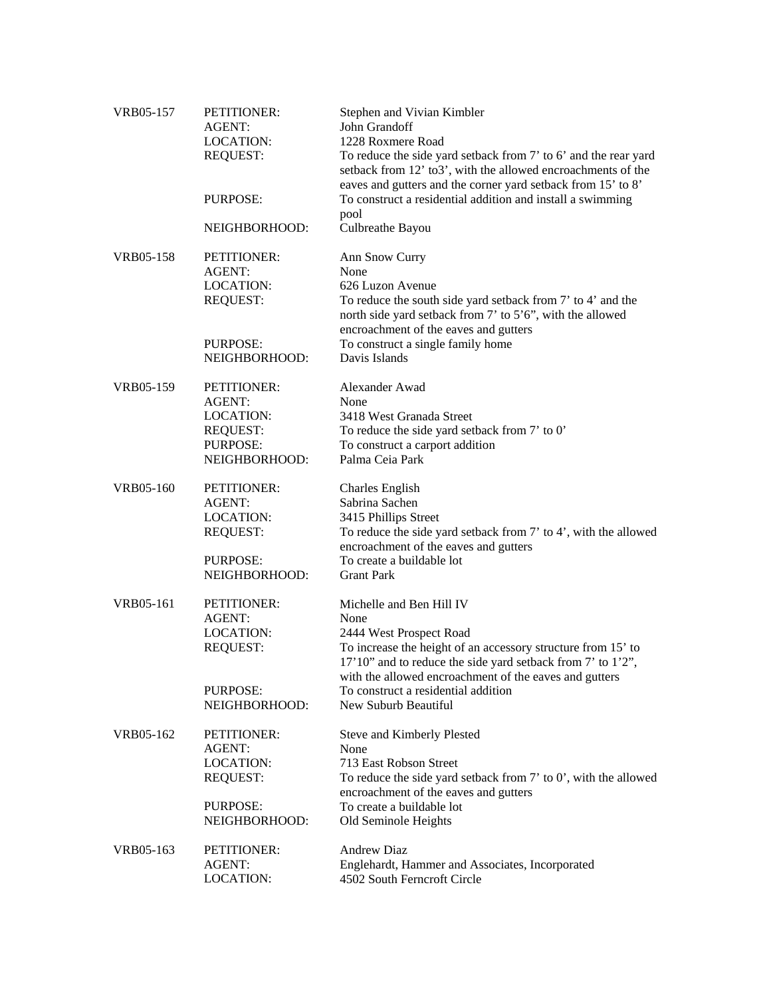| VRB05-157 | PETITIONER:<br><b>AGENT:</b><br><b>LOCATION:</b><br><b>REQUEST:</b>                              | Stephen and Vivian Kimbler<br>John Grandoff<br>1228 Roxmere Road<br>To reduce the side yard setback from 7' to 6' and the rear yard<br>setback from 12' to3', with the allowed encroachments of the                                                                                                                 |
|-----------|--------------------------------------------------------------------------------------------------|---------------------------------------------------------------------------------------------------------------------------------------------------------------------------------------------------------------------------------------------------------------------------------------------------------------------|
|           | PURPOSE:                                                                                         | eaves and gutters and the corner yard setback from 15' to 8'<br>To construct a residential addition and install a swimming<br>pool                                                                                                                                                                                  |
|           | NEIGHBORHOOD:                                                                                    | Culbreathe Bayou                                                                                                                                                                                                                                                                                                    |
| VRB05-158 | PETITIONER:<br>AGENT:<br><b>LOCATION:</b><br><b>REQUEST:</b><br>PURPOSE:                         | Ann Snow Curry<br>None<br>626 Luzon Avenue<br>To reduce the south side yard setback from 7' to 4' and the<br>north side yard setback from 7' to 5'6", with the allowed<br>encroachment of the eaves and gutters<br>To construct a single family home                                                                |
|           | NEIGHBORHOOD:                                                                                    | Davis Islands                                                                                                                                                                                                                                                                                                       |
| VRB05-159 | PETITIONER:<br>AGENT:<br><b>LOCATION:</b><br><b>REQUEST:</b><br>PURPOSE:<br>NEIGHBORHOOD:        | Alexander Awad<br>None<br>3418 West Granada Street<br>To reduce the side yard setback from 7' to 0'<br>To construct a carport addition<br>Palma Ceia Park                                                                                                                                                           |
| VRB05-160 | PETITIONER:<br><b>AGENT:</b><br><b>LOCATION:</b><br><b>REQUEST:</b><br>PURPOSE:<br>NEIGHBORHOOD: | <b>Charles English</b><br>Sabrina Sachen<br>3415 Phillips Street<br>To reduce the side yard setback from 7' to 4', with the allowed<br>encroachment of the eaves and gutters<br>To create a buildable lot<br><b>Grant Park</b>                                                                                      |
| VRB05-161 | PETITIONER:<br>AGENT:<br>LOCATION:<br><b>REQUEST:</b><br>PURPOSE:<br>NEIGHBORHOOD:               | Michelle and Ben Hill IV<br>None<br>2444 West Prospect Road<br>To increase the height of an accessory structure from 15' to<br>17'10" and to reduce the side yard setback from 7' to 1'2",<br>with the allowed encroachment of the eaves and gutters<br>To construct a residential addition<br>New Suburb Beautiful |
| VRB05-162 | PETITIONER:<br><b>AGENT:</b><br><b>LOCATION:</b><br><b>REQUEST:</b><br>PURPOSE:<br>NEIGHBORHOOD: | Steve and Kimberly Plested<br>None<br>713 East Robson Street<br>To reduce the side yard setback from $7'$ to $0'$ , with the allowed<br>encroachment of the eaves and gutters<br>To create a buildable lot<br>Old Seminole Heights                                                                                  |
| VRB05-163 | PETITIONER:<br>AGENT:<br><b>LOCATION:</b>                                                        | <b>Andrew Diaz</b><br>Englehardt, Hammer and Associates, Incorporated<br>4502 South Ferncroft Circle                                                                                                                                                                                                                |